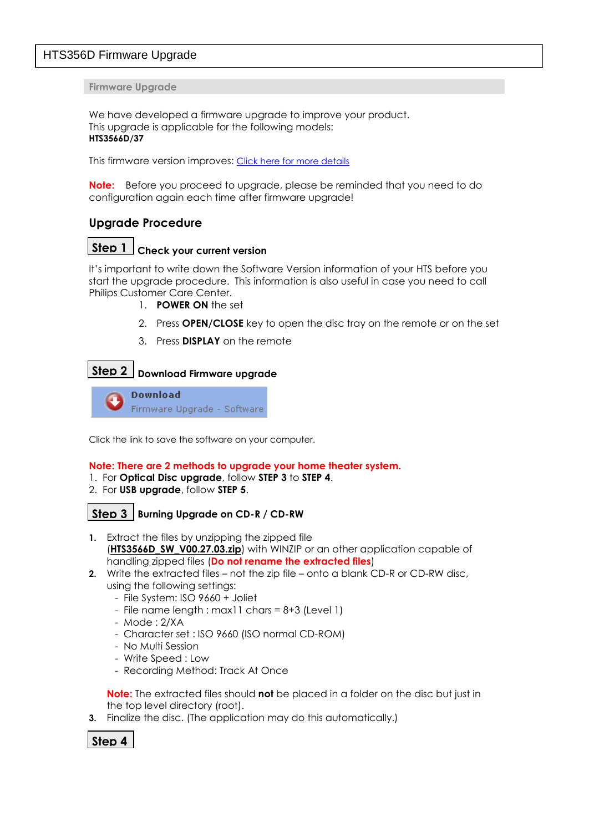# HTS356D Firmware Upgrade

**Firmware Upgrade**

We have developed a firmware upgrade to improve your product. This upgrade is applicable for the following models: **HTS3566D/37**

This firmware version improves: [Click here for more details](#page-2-0)

**Note:** Before you proceed to upgrade, please be reminded that you need to do configuration again each time after firmware upgrade!

## **Upgrade Procedure**

# **Check your current version Step 1**

It's important to write down the Software Version information of your HTS before you start the upgrade procedure. This information is also useful in case you need to call Philips Customer Care Center.

- 1. **POWER ON** the set
- 2. Press **OPEN/CLOSE** key to open the disc tray on the remote or on the set
- 3. Press **DISPLAY** on the remote

## **Download Firmware upgrade Step 2**

**Download** Firmware Upgrade - Software

Click the link to save the software on your computer.

#### **Note: There are 2 methods to upgrade your home theater system.**

- 1. For **Optical Disc upgrade**, follow **STEP 3** to **STEP 4**.
- 2. For **USB upgrade**, follow **STEP 5**.

## $\textbf{Step 3}$  Burning Upgrade on CD-R / CD-RW

- **1.** Extract the files by unzipping the zipped file (HTS3566D SW V00.27.03.zip) with WINZIP or an other application capable of handling zipped files (**Do not rename the extracted files**)
- **2.** Write the extracted files not the zip file onto a blank CD-R or CD-RW disc, using the following settings:
	- File System: ISO 9660 + Joliet
	- $-$  File name length : max11 chars = 8+3 (Level 1)
	- Mode : 2/XA
	- Character set : ISO 9660 (ISO normal CD-ROM)
	- No Multi Session
	- Write Speed : Low
	- Recording Method: Track At Once

**Note:** The extracted files should **not** be placed in a folder on the disc but just in the top level directory (root).

**3.** Finalize the disc. (The application may do this automatically.)

**Step 4**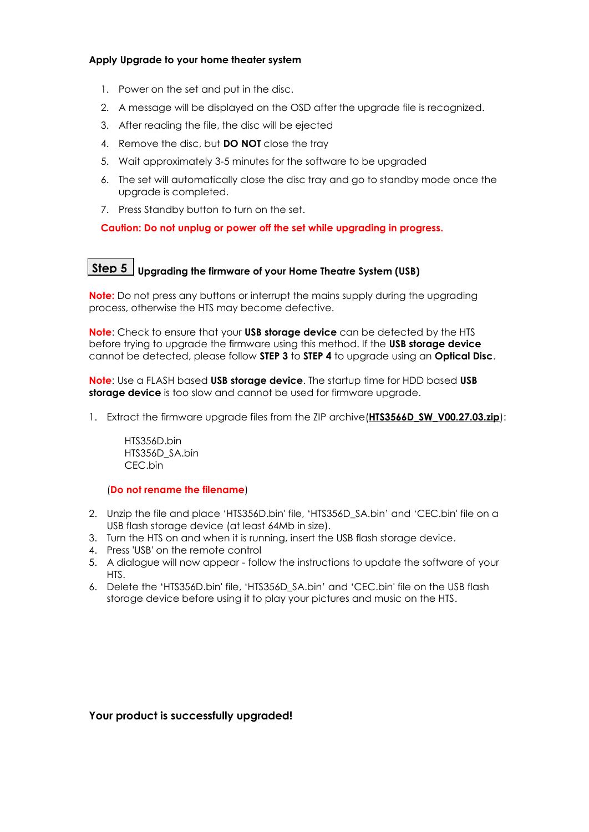#### **Apply Upgrade to your home theater system**

- 1. Power on the set and put in the disc.
- 2. A message will be displayed on the OSD after the upgrade file is recognized.
- 3. After reading the file, the disc will be ejected
- 4. Remove the disc, but **DO NOT** close the tray
- 5. Wait approximately 3-5 minutes for the software to be upgraded
- 6. The set will automatically close the disc tray and go to standby mode once the upgrade is completed.
- 7. Press Standby button to turn on the set.

**Caution: Do not unplug or power off the set while upgrading in progress.**

# **Upgrading the firmware of your Home Theatre System (USB) Step 5**

**Note:** Do not press any buttons or interrupt the mains supply during the upgrading process, otherwise the HTS may become defective.

**Note**: Check to ensure that your **USB storage device** can be detected by the HTS before trying to upgrade the firmware using this method. If the **USB storage device** cannot be detected, please follow **STEP 3** to **STEP 4** to upgrade using an **Optical Disc**.

**Note**: Use a FLASH based **USB storage device**. The startup time for HDD based **USB storage device** is too slow and cannot be used for firmware upgrade.

1. Extract the firmware upgrade files from the ZIP archive (HTS3566D SW V00.27.03.zip):

HTS356D.bin HTS356D\_SA.bin CEC.bin

#### (**Do not rename the filename**)

- 2. Unzip the file and place 'HTS356D.bin' file, 'HTS356D\_SA.bin' and 'CEC.bin' file on a USB flash storage device (at least 64Mb in size).
- 3. Turn the HTS on and when it is running, insert the USB flash storage device.
- 4. Press 'USB' on the remote control
- 5. A dialogue will now appear follow the instructions to update the software of your HTS.
- 6. Delete the 'HTS356D.bin' file, 'HTS356D\_SA.bin' and 'CEC.bin' file on the USB flash storage device before using it to play your pictures and music on the HTS.

### **Your product is successfully upgraded!**